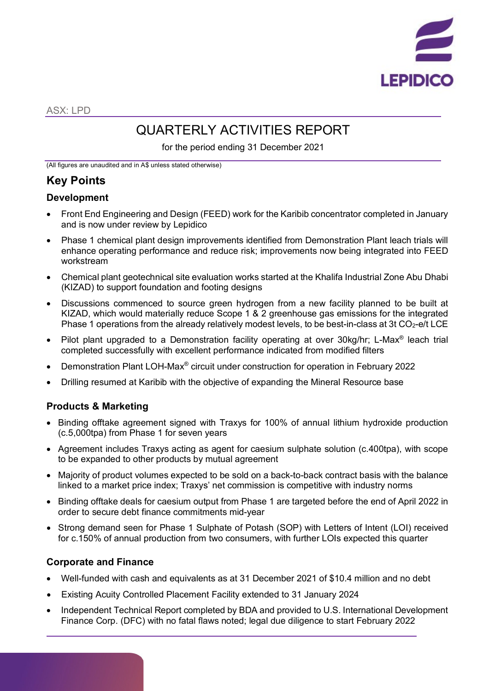

ASX: LPD

# QUARTERLY ACTIVITIES REPORT

for the period ending 31 December 2021

(All figures are unaudited and in A\$ unless stated otherwise)

# **Key Points**

### **Development**

- Front End Engineering and Design (FEED) work for the Karibib concentrator completed in January and is now under review by Lepidico
- Phase 1 chemical plant design improvements identified from Demonstration Plant leach trials will enhance operating performance and reduce risk; improvements now being integrated into FEED workstream
- Chemical plant geotechnical site evaluation works started at the Khalifa Industrial Zone Abu Dhabi (KIZAD) to support foundation and footing designs
- Discussions commenced to source green hydrogen from a new facility planned to be built at KIZAD, which would materially reduce Scope 1 & 2 greenhouse gas emissions for the integrated Phase 1 operations from the already relatively modest levels, to be best-in-class at 3t  $CO<sub>2</sub>$ -e/t LCE
- Pilot plant upgraded to a Demonstration facility operating at over 30kg/hr; L-Max® leach trial completed successfully with excellent performance indicated from modified filters
- Demonstration Plant LOH-Max® circuit under construction for operation in February 2022
- Drilling resumed at Karibib with the objective of expanding the Mineral Resource base

## **Products & Marketing**

- Binding offtake agreement signed with Traxys for 100% of annual lithium hydroxide production (c.5,000tpa) from Phase 1 for seven years
- Agreement includes Traxys acting as agent for caesium sulphate solution (c.400tpa), with scope to be expanded to other products by mutual agreement
- Majority of product volumes expected to be sold on a back-to-back contract basis with the balance linked to a market price index; Traxys' net commission is competitive with industry norms
- Binding offtake deals for caesium output from Phase 1 are targeted before the end of April 2022 in order to secure debt finance commitments mid-year
- Strong demand seen for Phase 1 Sulphate of Potash (SOP) with Letters of Intent (LOI) received for c.150% of annual production from two consumers, with further LOIs expected this quarter

### **Corporate and Finance**

- Well-funded with cash and equivalents as at 31 December 2021 of \$10.4 million and no debt
- Existing Acuity Controlled Placement Facility extended to 31 January 2024
- Independent Technical Report completed by BDA and provided to U.S. International Development Finance Corp. (DFC) with no fatal flaws noted; legal due diligence to start February 2022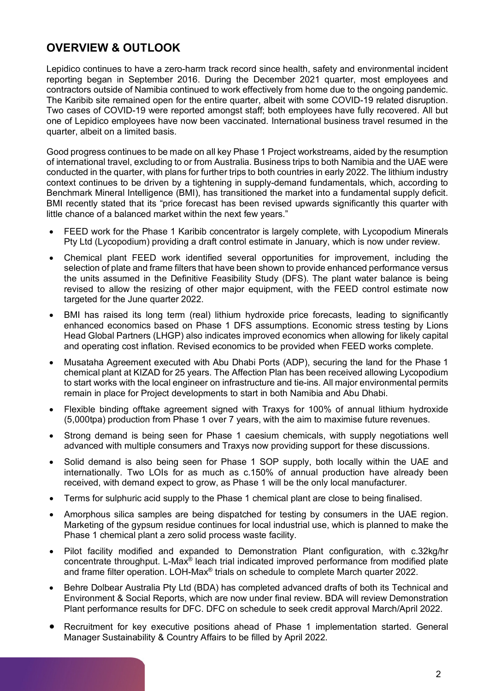# **OVERVIEW & OUTLOOK**

Lepidico continues to have a zero-harm track record since health, safety and environmental incident reporting began in September 2016. During the December 2021 quarter, most employees and contractors outside of Namibia continued to work effectively from home due to the ongoing pandemic. The Karibib site remained open for the entire quarter, albeit with some COVID-19 related disruption. Two cases of COVID-19 were reported amongst staff; both employees have fully recovered. All but one of Lepidico employees have now been vaccinated. International business travel resumed in the quarter, albeit on a limited basis.

Good progress continues to be made on all key Phase 1 Project workstreams, aided by the resumption of international travel, excluding to or from Australia. Business trips to both Namibia and the UAE were conducted in the quarter, with plans for further trips to both countries in early 2022. The lithium industry context continues to be driven by a tightening in supply-demand fundamentals, which, according to Benchmark Mineral Intelligence (BMI), has transitioned the market into a fundamental supply deficit. BMI recently stated that its "price forecast has been revised upwards significantly this quarter with little chance of a balanced market within the next few years."

- FEED work for the Phase 1 Karibib concentrator is largely complete, with Lycopodium Minerals Pty Ltd (Lycopodium) providing a draft control estimate in January, which is now under review.
- Chemical plant FEED work identified several opportunities for improvement, including the selection of plate and frame filters that have been shown to provide enhanced performance versus the units assumed in the Definitive Feasibility Study (DFS). The plant water balance is being revised to allow the resizing of other major equipment, with the FEED control estimate now targeted for the June quarter 2022.
- BMI has raised its long term (real) lithium hydroxide price forecasts, leading to significantly enhanced economics based on Phase 1 DFS assumptions. Economic stress testing by Lions Head Global Partners (LHGP) also indicates improved economics when allowing for likely capital and operating cost inflation. Revised economics to be provided when FEED works complete.
- Musataha Agreement executed with Abu Dhabi Ports (ADP), securing the land for the Phase 1 chemical plant at KIZAD for 25 years. The Affection Plan has been received allowing Lycopodium to start works with the local engineer on infrastructure and tie-ins. All major environmental permits remain in place for Project developments to start in both Namibia and Abu Dhabi.
- Flexible binding offtake agreement signed with Traxys for 100% of annual lithium hydroxide (5,000tpa) production from Phase 1 over 7 years, with the aim to maximise future revenues.
- Strong demand is being seen for Phase 1 caesium chemicals, with supply negotiations well advanced with multiple consumers and Traxys now providing support for these discussions.
- Solid demand is also being seen for Phase 1 SOP supply, both locally within the UAE and internationally. Two LOIs for as much as c.150% of annual production have already been received, with demand expect to grow, as Phase 1 will be the only local manufacturer.
- Terms for sulphuric acid supply to the Phase 1 chemical plant are close to being finalised.
- Amorphous silica samples are being dispatched for testing by consumers in the UAE region. Marketing of the gypsum residue continues for local industrial use, which is planned to make the Phase 1 chemical plant a zero solid process waste facility.
- Pilot facility modified and expanded to Demonstration Plant configuration, with c.32kg/hr concentrate throughput. L-Max® leach trial indicated improved performance from modified plate and frame filter operation. LOH-Max® trials on schedule to complete March quarter 2022.
- Behre Dolbear Australia Pty Ltd (BDA) has completed advanced drafts of both its Technical and Environment & Social Reports, which are now under final review. BDA will review Demonstration Plant performance results for DFC. DFC on schedule to seek credit approval March/April 2022.
- Recruitment for key executive positions ahead of Phase 1 implementation started. General Manager Sustainability & Country Affairs to be filled by April 2022.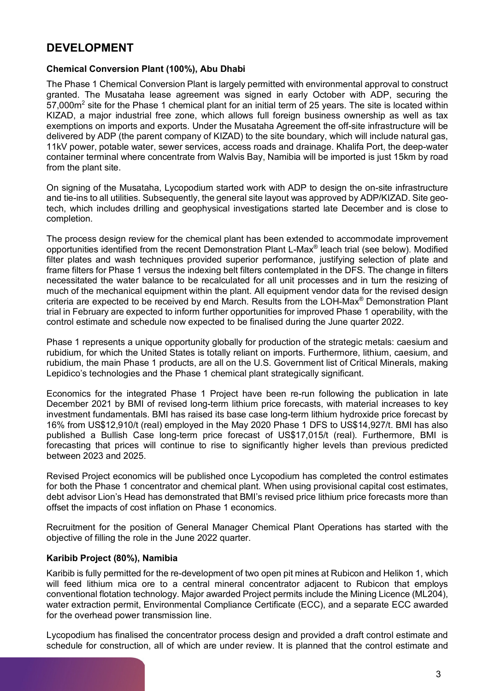# **DEVELOPMENT**

### **Chemical Conversion Plant (100%), Abu Dhabi**

The Phase 1 Chemical Conversion Plant is largely permitted with environmental approval to construct granted. The Musataha lease agreement was signed in early October with ADP, securing the 57,000m<sup>2</sup> site for the Phase 1 chemical plant for an initial term of 25 years. The site is located within KIZAD, a major industrial free zone, which allows full foreign business ownership as well as tax exemptions on imports and exports. Under the Musataha Agreement the off-site infrastructure will be delivered by ADP (the parent company of KIZAD) to the site boundary, which will include natural gas, 11kV power, potable water, sewer services, access roads and drainage. Khalifa Port, the deep-water container terminal where concentrate from Walvis Bay, Namibia will be imported is just 15km by road from the plant site.

On signing of the Musataha, Lycopodium started work with ADP to design the on-site infrastructure and tie-ins to all utilities. Subsequently, the general site layout was approved by ADP/KIZAD. Site geotech, which includes drilling and geophysical investigations started late December and is close to completion.

The process design review for the chemical plant has been extended to accommodate improvement opportunities identified from the recent Demonstration Plant L-Max® leach trial (see below). Modified filter plates and wash techniques provided superior performance, justifying selection of plate and frame filters for Phase 1 versus the indexing belt filters contemplated in the DFS. The change in filters necessitated the water balance to be recalculated for all unit processes and in turn the resizing of much of the mechanical equipment within the plant. All equipment vendor data for the revised design criteria are expected to be received by end March. Results from the LOH-Max® Demonstration Plant trial in February are expected to inform further opportunities for improved Phase 1 operability, with the control estimate and schedule now expected to be finalised during the June quarter 2022.

Phase 1 represents a unique opportunity globally for production of the strategic metals: caesium and rubidium, for which the United States is totally reliant on imports. Furthermore, lithium, caesium, and rubidium, the main Phase 1 products, are all on the U.S. Government list of Critical Minerals, making Lepidico's technologies and the Phase 1 chemical plant strategically significant.

Economics for the integrated Phase 1 Project have been re-run following the publication in late December 2021 by BMI of revised long-term lithium price forecasts, with material increases to key investment fundamentals. BMI has raised its base case long-term lithium hydroxide price forecast by 16% from US\$12,910/t (real) employed in the May 2020 Phase 1 DFS to US\$14,927/t. BMI has also published a Bullish Case long-term price forecast of US\$17,015/t (real). Furthermore, BMI is forecasting that prices will continue to rise to significantly higher levels than previous predicted between 2023 and 2025.

Revised Project economics will be published once Lycopodium has completed the control estimates for both the Phase 1 concentrator and chemical plant. When using provisional capital cost estimates, debt advisor Lion's Head has demonstrated that BMI's revised price lithium price forecasts more than offset the impacts of cost inflation on Phase 1 economics.

Recruitment for the position of General Manager Chemical Plant Operations has started with the objective of filling the role in the June 2022 quarter.

#### **Karibib Project (80%), Namibia**

Karibib is fully permitted for the re-development of two open pit mines at Rubicon and Helikon 1, which will feed lithium mica ore to a central mineral concentrator adjacent to Rubicon that employs conventional flotation technology. Major awarded Project permits include the Mining Licence (ML204), water extraction permit, Environmental Compliance Certificate (ECC), and a separate ECC awarded for the overhead power transmission line.

Lycopodium has finalised the concentrator process design and provided a draft control estimate and schedule for construction, all of which are under review. It is planned that the control estimate and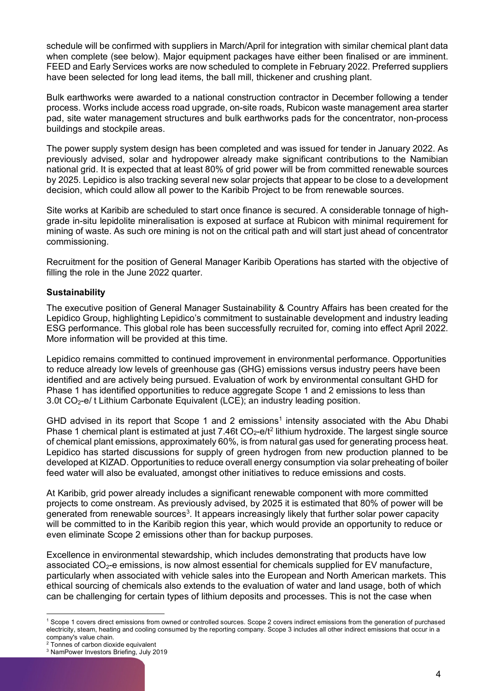schedule will be confirmed with suppliers in March/April for integration with similar chemical plant data when complete (see below). Major equipment packages have either been finalised or are imminent. FEED and Early Services works are now scheduled to complete in February 2022. Preferred suppliers have been selected for long lead items, the ball mill, thickener and crushing plant.

Bulk earthworks were awarded to a national construction contractor in December following a tender process. Works include access road upgrade, on-site roads, Rubicon waste management area starter pad, site water management structures and bulk earthworks pads for the concentrator, non-process buildings and stockpile areas.

The power supply system design has been completed and was issued for tender in January 2022. As previously advised, solar and hydropower already make significant contributions to the Namibian national grid. It is expected that at least 80% of grid power will be from committed renewable sources by 2025. Lepidico is also tracking several new solar projects that appear to be close to a development decision, which could allow all power to the Karibib Project to be from renewable sources.

Site works at Karibib are scheduled to start once finance is secured. A considerable tonnage of highgrade in-situ lepidolite mineralisation is exposed at surface at Rubicon with minimal requirement for mining of waste. As such ore mining is not on the critical path and will start just ahead of concentrator commissioning.

Recruitment for the position of General Manager Karibib Operations has started with the objective of filling the role in the June 2022 quarter.

### **Sustainability**

The executive position of General Manager Sustainability & Country Affairs has been created for the Lepidico Group, highlighting Lepidico's commitment to sustainable development and industry leading ESG performance. This global role has been successfully recruited for, coming into effect April 2022. More information will be provided at this time.

Lepidico remains committed to continued improvement in environmental performance. Opportunities to reduce already low levels of greenhouse gas (GHG) emissions versus industry peers have been identified and are actively being pursued. Evaluation of work by environmental consultant GHD for Phase 1 has identified opportunities to reduce aggregate Scope 1 and 2 emissions to less than 3.0t CO<sub>2</sub>-e/ t Lithium Carbonate Equivalent (LCE); an industry leading position.

GHD advised in its report that Scope [1](#page-3-0) and 2 emissions<sup>1</sup> intensity associated with the Abu Dhabi Phase 1 chemical plant is estimated at just 7.46t  $CO<sub>2</sub>$  $CO<sub>2</sub>$  $CO<sub>2</sub>$ -e/t<sup>2</sup> lithium hydroxide. The largest single source of chemical plant emissions, approximately 60%, is from natural gas used for generating process heat. Lepidico has started discussions for supply of green hydrogen from new production planned to be developed at KIZAD. Opportunities to reduce overall energy consumption via solar preheating of boiler feed water will also be evaluated, amongst other initiatives to reduce emissions and costs.

At Karibib, grid power already includes a significant renewable component with more committed projects to come onstream. As previously advised, by 2025 it is estimated that 80% of power will be generated from renewable sources<sup>[3](#page-3-2)</sup>. It appears increasingly likely that further solar power capacity will be committed to in the Karibib region this year, which would provide an opportunity to reduce or even eliminate Scope 2 emissions other than for backup purposes.

Excellence in environmental stewardship, which includes demonstrating that products have low associated  $CO<sub>2</sub>$ -e emissions, is now almost essential for chemicals supplied for EV manufacture, particularly when associated with vehicle sales into the European and North American markets. This ethical sourcing of chemicals also extends to the evaluation of water and land usage, both of which can be challenging for certain types of lithium deposits and processes. This is not the case when

<span id="page-3-0"></span><sup>&</sup>lt;sup>1</sup> Scope 1 covers direct emissions from owned or controlled sources. Scope 2 covers indirect emissions from the generation of purchased electricity, steam, heating and cooling consumed by the reporting company. Scope 3 includes all other indirect emissions that occur in a company's value chain.

<sup>&</sup>lt;sup>2</sup> Tonnes of carbon dioxide equivalent

<span id="page-3-2"></span><span id="page-3-1"></span><sup>3</sup> NamPower Investors Briefing, July 2019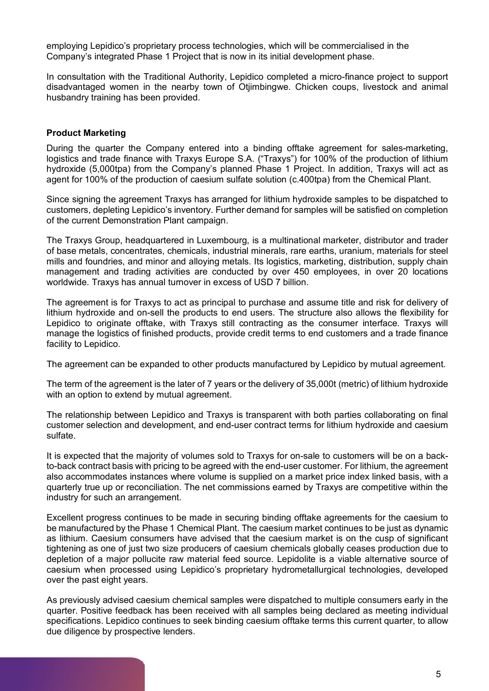employing Lepidico's proprietary process technologies, which will be commercialised in the Company's integrated Phase 1 Project that is now in its initial development phase.

In consultation with the Traditional Authority, Lepidico completed a micro-finance project to support disadvantaged women in the nearby town of Otjimbingwe. Chicken coups, livestock and animal husbandry training has been provided.

#### **Product Marketing**

During the quarter the Company entered into a binding offtake agreement for sales-marketing, logistics and trade finance with Traxys Europe S.A. ("Traxys") for 100% of the production of lithium hydroxide (5,000tpa) from the Company's planned Phase 1 Project. In addition, Traxys will act as agent for 100% of the production of caesium sulfate solution (c.400tpa) from the Chemical Plant.

Since signing the agreement Traxys has arranged for lithium hydroxide samples to be dispatched to customers, depleting Lepidico's inventory. Further demand for samples will be satisfied on completion of the current Demonstration Plant campaign.

The Traxys Group, headquartered in Luxembourg, is a multinational marketer, distributor and trader of base metals, concentrates, chemicals, industrial minerals, rare earths, uranium, materials for steel mills and foundries, and minor and alloying metals. Its logistics, marketing, distribution, supply chain management and trading activities are conducted by over 450 employees, in over 20 locations worldwide. Traxys has annual turnover in excess of USD 7 billion.

The agreement is for Traxys to act as principal to purchase and assume title and risk for delivery of lithium hydroxide and on-sell the products to end users. The structure also allows the flexibility for Lepidico to originate offtake, with Traxys still contracting as the consumer interface. Traxys will manage the logistics of finished products, provide credit terms to end customers and a trade finance facility to Lepidico.

The agreement can be expanded to other products manufactured by Lepidico by mutual agreement.

The term of the agreement is the later of 7 years or the delivery of 35,000t (metric) of lithium hydroxide with an option to extend by mutual agreement.

The relationship between Lepidico and Traxys is transparent with both parties collaborating on final customer selection and development, and end-user contract terms for lithium hydroxide and caesium sulfate.

It is expected that the majority of volumes sold to Traxys for on-sale to customers will be on a backto-back contract basis with pricing to be agreed with the end-user customer. For lithium, the agreement also accommodates instances where volume is supplied on a market price index linked basis, with a quarterly true up or reconciliation. The net commissions earned by Traxys are competitive within the industry for such an arrangement.

Excellent progress continues to be made in securing binding offtake agreements for the caesium to be manufactured by the Phase 1 Chemical Plant. The caesium market continues to be just as dynamic as lithium. Caesium consumers have advised that the caesium market is on the cusp of significant tightening as one of just two size producers of caesium chemicals globally ceases production due to depletion of a major pollucite raw material feed source. Lepidolite is a viable alternative source of caesium when processed using Lepidico's proprietary hydrometallurgical technologies, developed over the past eight years.

As previously advised caesium chemical samples were dispatched to multiple consumers early in the quarter. Positive feedback has been received with all samples being declared as meeting individual specifications. Lepidico continues to seek binding caesium offtake terms this current quarter, to allow due diligence by prospective lenders.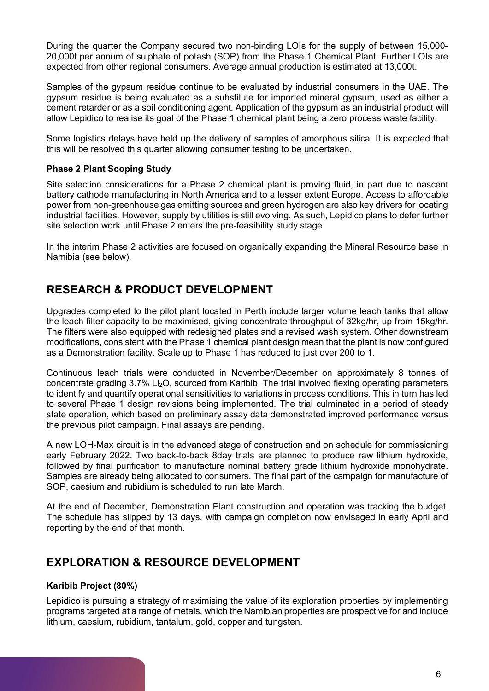During the quarter the Company secured two non-binding LOIs for the supply of between 15,000- 20,000t per annum of sulphate of potash (SOP) from the Phase 1 Chemical Plant. Further LOIs are expected from other regional consumers. Average annual production is estimated at 13,000t.

Samples of the gypsum residue continue to be evaluated by industrial consumers in the UAE. The gypsum residue is being evaluated as a substitute for imported mineral gypsum, used as either a cement retarder or as a soil conditioning agent. Application of the gypsum as an industrial product will allow Lepidico to realise its goal of the Phase 1 chemical plant being a zero process waste facility.

Some logistics delays have held up the delivery of samples of amorphous silica. It is expected that this will be resolved this quarter allowing consumer testing to be undertaken.

### **Phase 2 Plant Scoping Study**

Site selection considerations for a Phase 2 chemical plant is proving fluid, in part due to nascent battery cathode manufacturing in North America and to a lesser extent Europe. Access to affordable power from non-greenhouse gas emitting sources and green hydrogen are also key drivers for locating industrial facilities. However, supply by utilities is still evolving. As such, Lepidico plans to defer further site selection work until Phase 2 enters the pre-feasibility study stage.

In the interim Phase 2 activities are focused on organically expanding the Mineral Resource base in Namibia (see below).

# **RESEARCH & PRODUCT DEVELOPMENT**

Upgrades completed to the pilot plant located in Perth include larger volume leach tanks that allow the leach filter capacity to be maximised, giving concentrate throughput of 32kg/hr, up from 15kg/hr. The filters were also equipped with redesigned plates and a revised wash system. Other downstream modifications, consistent with the Phase 1 chemical plant design mean that the plant is now configured as a Demonstration facility. Scale up to Phase 1 has reduced to just over 200 to 1.

Continuous leach trials were conducted in November/December on approximately 8 tonnes of concentrate grading  $3.7\%$  Li<sub>2</sub>O, sourced from Karibib. The trial involved flexing operating parameters to identify and quantify operational sensitivities to variations in process conditions. This in turn has led to several Phase 1 design revisions being implemented. The trial culminated in a period of steady state operation, which based on preliminary assay data demonstrated improved performance versus the previous pilot campaign. Final assays are pending.

A new LOH-Max circuit is in the advanced stage of construction and on schedule for commissioning early February 2022. Two back-to-back 8day trials are planned to produce raw lithium hydroxide, followed by final purification to manufacture nominal battery grade lithium hydroxide monohydrate. Samples are already being allocated to consumers. The final part of the campaign for manufacture of SOP, caesium and rubidium is scheduled to run late March.

At the end of December, Demonstration Plant construction and operation was tracking the budget. The schedule has slipped by 13 days, with campaign completion now envisaged in early April and reporting by the end of that month.

# **EXPLORATION & RESOURCE DEVELOPMENT**

#### **Karibib Project (80%)**

Lepidico is pursuing a strategy of maximising the value of its exploration properties by implementing programs targeted at a range of metals, which the Namibian properties are prospective for and include lithium, caesium, rubidium, tantalum, gold, copper and tungsten.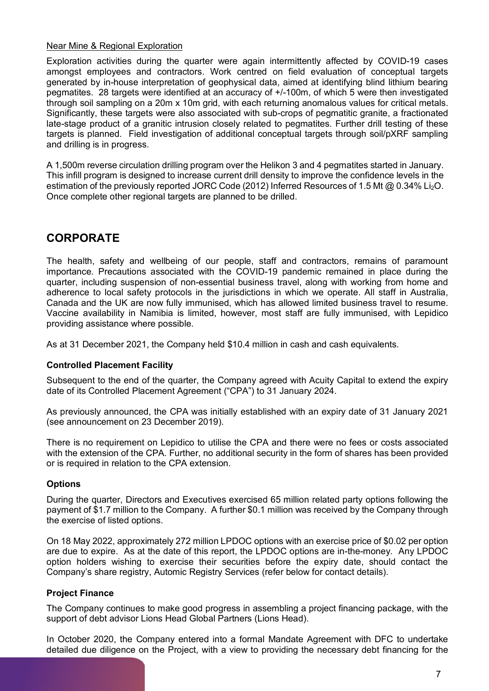### Near Mine & Regional Exploration

Exploration activities during the quarter were again intermittently affected by COVID-19 cases amongst employees and contractors. Work centred on field evaluation of conceptual targets generated by in-house interpretation of geophysical data, aimed at identifying blind lithium bearing pegmatites. 28 targets were identified at an accuracy of +/-100m, of which 5 were then investigated through soil sampling on a 20m x 10m grid, with each returning anomalous values for critical metals. Significantly, these targets were also associated with sub-crops of pegmatitic granite, a fractionated late-stage product of a granitic intrusion closely related to pegmatites. Further drill testing of these targets is planned. Field investigation of additional conceptual targets through soil/pXRF sampling and drilling is in progress.

A 1,500m reverse circulation drilling program over the Helikon 3 and 4 pegmatites started in January. This infill program is designed to increase current drill density to improve the confidence levels in the estimation of the previously reported JORC Code (2012) Inferred Resources of 1.5 Mt @ 0.34% Li<sub>2</sub>O. Once complete other regional targets are planned to be drilled.

# **CORPORATE**

The health, safety and wellbeing of our people, staff and contractors, remains of paramount importance. Precautions associated with the COVID-19 pandemic remained in place during the quarter, including suspension of non-essential business travel, along with working from home and adherence to local safety protocols in the jurisdictions in which we operate. All staff in Australia, Canada and the UK are now fully immunised, which has allowed limited business travel to resume. Vaccine availability in Namibia is limited, however, most staff are fully immunised, with Lepidico providing assistance where possible.

As at 31 December 2021, the Company held \$10.4 million in cash and cash equivalents.

### **Controlled Placement Facility**

Subsequent to the end of the quarter, the Company agreed with Acuity Capital to extend the expiry date of its Controlled Placement Agreement ("CPA") to 31 January 2024.

As previously announced, the CPA was initially established with an expiry date of 31 January 2021 (see announcement on 23 December 2019).

There is no requirement on Lepidico to utilise the CPA and there were no fees or costs associated with the extension of the CPA. Further, no additional security in the form of shares has been provided or is required in relation to the CPA extension.

### **Options**

During the quarter, Directors and Executives exercised 65 million related party options following the payment of \$1.7 million to the Company. A further \$0.1 million was received by the Company through the exercise of listed options.

On 18 May 2022, approximately 272 million LPDOC options with an exercise price of \$0.02 per option are due to expire. As at the date of this report, the LPDOC options are in-the-money. Any LPDOC option holders wishing to exercise their securities before the expiry date, should contact the Company's share registry, Automic Registry Services (refer below for contact details).

### **Project Finance**

The Company continues to make good progress in assembling a project financing package, with the support of debt advisor Lions Head Global Partners (Lions Head).

In October 2020, the Company entered into a formal Mandate Agreement with DFC to undertake detailed due diligence on the Project, with a view to providing the necessary debt financing for the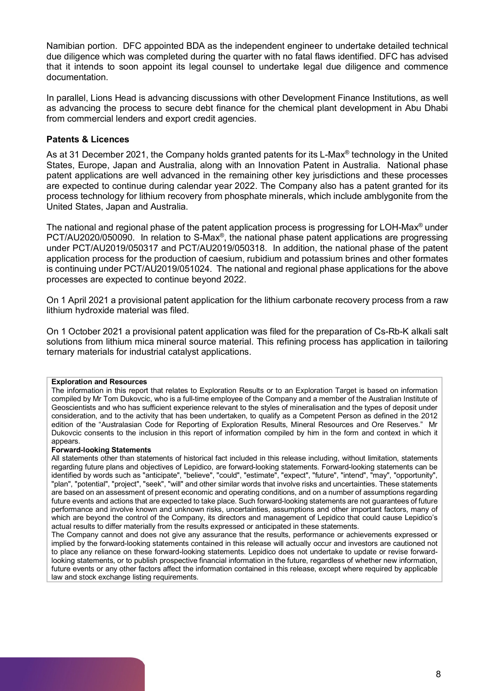Namibian portion. DFC appointed BDA as the independent engineer to undertake detailed technical due diligence which was completed during the quarter with no fatal flaws identified. DFC has advised that it intends to soon appoint its legal counsel to undertake legal due diligence and commence documentation.

In parallel, Lions Head is advancing discussions with other Development Finance Institutions, as well as advancing the process to secure debt finance for the chemical plant development in Abu Dhabi from commercial lenders and export credit agencies.

### **Patents & Licences**

As at 31 December 2021, the Company holds granted patents for its L-Max<sup>®</sup> technology in the United States, Europe, Japan and Australia, along with an Innovation Patent in Australia. National phase patent applications are well advanced in the remaining other key jurisdictions and these processes are expected to continue during calendar year 2022. The Company also has a patent granted for its process technology for lithium recovery from phosphate minerals, which include amblygonite from the United States, Japan and Australia.

The national and regional phase of the patent application process is progressing for LOH-Max® under PCT/AU2020/050090. In relation to S-Max®, the national phase patent applications are progressing under PCT/AU2019/050317 and PCT/AU2019/050318. In addition, the national phase of the patent application process for the production of caesium, rubidium and potassium brines and other formates is continuing under PCT/AU2019/051024. The national and regional phase applications for the above processes are expected to continue beyond 2022.

On 1 April 2021 a provisional patent application for the lithium carbonate recovery process from a raw lithium hydroxide material was filed.

On 1 October 2021 a provisional patent application was filed for the preparation of Cs-Rb-K alkali salt solutions from lithium mica mineral source material. This refining process has application in tailoring ternary materials for industrial catalyst applications.

#### **Exploration and Resources**

The information in this report that relates to Exploration Results or to an Exploration Target is based on information compiled by Mr Tom Dukovcic, who is a full-time employee of the Company and a member of the Australian Institute of Geoscientists and who has sufficient experience relevant to the styles of mineralisation and the types of deposit under consideration, and to the activity that has been undertaken, to qualify as a Competent Person as defined in the 2012 edition of the "Australasian Code for Reporting of Exploration Results, Mineral Resources and Ore Reserves." Mr Dukovcic consents to the inclusion in this report of information compiled by him in the form and context in which it appears.

#### **Forward-looking Statements**

All statements other than statements of historical fact included in this release including, without limitation, statements regarding future plans and objectives of Lepidico, are forward-looking statements. Forward-looking statements can be identified by words such as "anticipate", "believe", "could", "estimate", "expect", "future", "intend", "may", "opportunity", "plan", "potential", "project", "seek", "will" and other similar words that involve risks and uncertainties. These statements are based on an assessment of present economic and operating conditions, and on a number of assumptions regarding future events and actions that are expected to take place. Such forward-looking statements are not guarantees of future performance and involve known and unknown risks, uncertainties, assumptions and other important factors, many of which are beyond the control of the Company, its directors and management of Lepidico that could cause Lepidico's actual results to differ materially from the results expressed or anticipated in these statements.

The Company cannot and does not give any assurance that the results, performance or achievements expressed or implied by the forward-looking statements contained in this release will actually occur and investors are cautioned not to place any reliance on these forward-looking statements. Lepidico does not undertake to update or revise forwardlooking statements, or to publish prospective financial information in the future, regardless of whether new information, future events or any other factors affect the information contained in this release, except where required by applicable law and stock exchange listing requirements.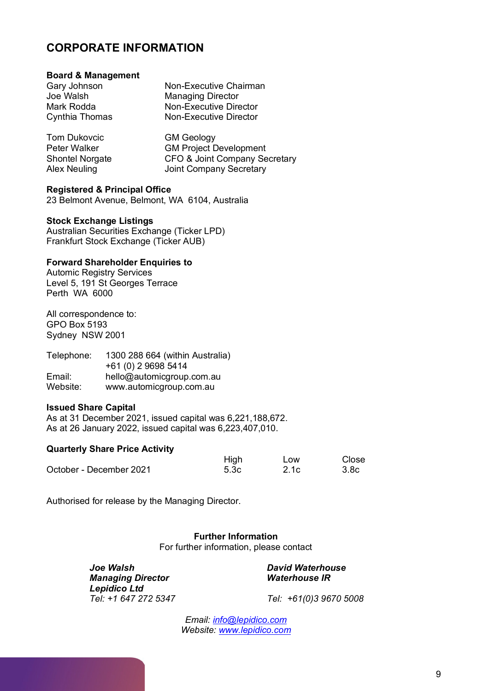# **CORPORATE INFORMATION**

#### **Board & Management**

| Gary Johnson   | Non-Executive Chairman   |
|----------------|--------------------------|
| Joe Walsh      | <b>Managing Director</b> |
| Mark Rodda     | Non-Executive Director   |
| Cynthia Thomas | Non-Executive Director   |
|                |                          |

Tom Dukovcic GM Geology Peter Walker GM Project Development<br>Shontel Norgate GFO & Joint Company Se Shontel Norgate CFO & Joint Company Secretary<br>
Alex Neuling Company Secretary Joint Company Secretary

#### **Registered & Principal Office**

23 Belmont Avenue, Belmont, WA 6104, Australia

#### **Stock Exchange Listings**

Australian Securities Exchange (Ticker LPD) Frankfurt Stock Exchange (Ticker AUB)

#### **Forward Shareholder Enquiries to**

Automic Registry Services Level 5, 191 St Georges Terrace Perth WA 6000

All correspondence to: GPO Box 5193 Sydney NSW 2001

| Telephone: | 1300 288 664 (within Australia) |
|------------|---------------------------------|
|            | +61 (0) 2 9698 5414             |
| Email:     | hello@automicgroup.com.au       |
| Website:   | www.automicgroup.com.au         |

#### **Issued Share Capital**

As at 31 December 2021, issued capital was 6,221,188,672. As at 26 January 2022, issued capital was 6,223,407,010.

#### **Quarterly Share Price Activity**

|                         | High | Low  | Close            |
|-------------------------|------|------|------------------|
| October - December 2021 | 5.3c | 2.1c | 3.8 <sub>c</sub> |

Authorised for release by the Managing Director.

**Further Information** For further information, please contact

*Joe Walsh David Waterhouse Managing Director Waterhouse IR Lepidico Ltd*

*Tel: +1 647 272 5347 Tel: +61(0)3 9670 5008*

*Email: [info@lepidico.com](mailto:info@lepidico.com) Website: [www.lepidico.com](http://www.lepidico.com/)*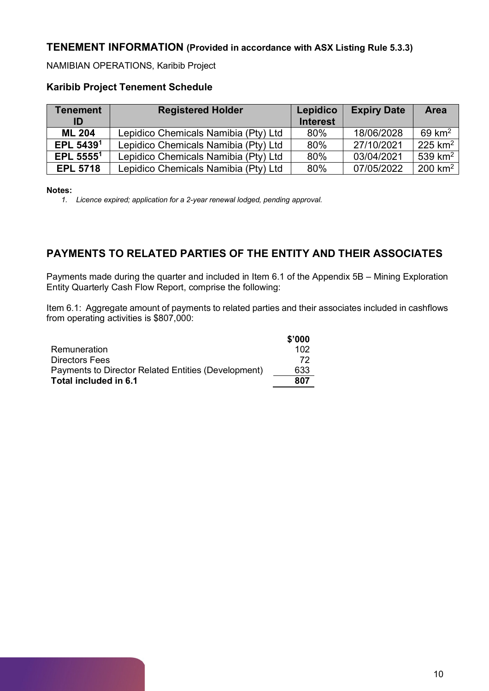### **TENEMENT INFORMATION (Provided in accordance with ASX Listing Rule 5.3.3)**

NAMIBIAN OPERATIONS, Karibib Project

### **Karibib Project Tenement Schedule**

| <b>Tenement</b><br>ID | <b>Registered Holder</b>             | Lepidico<br><b>Interest</b> | <b>Expiry Date</b> | <b>Area</b>           |
|-----------------------|--------------------------------------|-----------------------------|--------------------|-----------------------|
| <b>ML 204</b>         | Lepidico Chemicals Namibia (Pty) Ltd | 80%                         | 18/06/2028         | $69 \text{ km}^2$     |
| EPL 54391             | Lepidico Chemicals Namibia (Pty) Ltd | 80%                         | 27/10/2021         | $225$ km <sup>2</sup> |
| EPL $55551$           | Lepidico Chemicals Namibia (Pty) Ltd | 80%                         | 03/04/2021         | 539 $km2$             |
| <b>EPL 5718</b>       | Lepidico Chemicals Namibia (Pty) Ltd | 80%                         | 07/05/2022         | $200$ km <sup>2</sup> |

**Notes:**

*1. Licence expired; application for a 2-year renewal lodged, pending approval.*

## **PAYMENTS TO RELATED PARTIES OF THE ENTITY AND THEIR ASSOCIATES**

Payments made during the quarter and included in Item 6.1 of the Appendix 5B – Mining Exploration Entity Quarterly Cash Flow Report, comprise the following:

Item 6.1: Aggregate amount of payments to related parties and their associates included in cashflows from operating activities is \$807,000:

|                                                     | \$'000 |
|-----------------------------------------------------|--------|
| Remuneration                                        | 102    |
| <b>Directors Fees</b>                               | 72     |
| Payments to Director Related Entities (Development) | 633    |
| Total included in 6.1                               | 807    |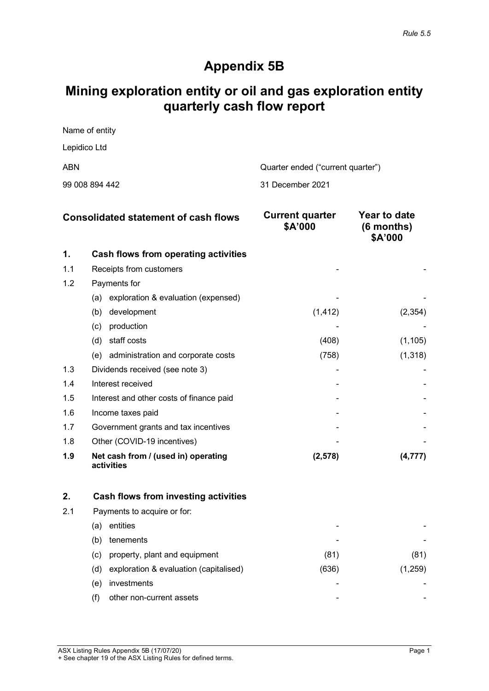# **Appendix 5B**

# **Mining exploration entity or oil and gas exploration entity quarterly cash flow report**

| Name of entity |                                   |
|----------------|-----------------------------------|
| Lepidico Ltd   |                                   |
| ABN            | Quarter ended ("current quarter") |
|                |                                   |

| 99 008 894 442 |  | 31 December 2021 |
|----------------|--|------------------|
|----------------|--|------------------|

| <b>Consolidated statement of cash flows</b> |                                                   | <b>Current quarter</b><br>\$A'000 | Year to date<br>$(6$ months)<br>\$A'000 |
|---------------------------------------------|---------------------------------------------------|-----------------------------------|-----------------------------------------|
| 1.                                          | Cash flows from operating activities              |                                   |                                         |
| 1.1                                         | Receipts from customers                           |                                   |                                         |
| 1.2                                         | Payments for                                      |                                   |                                         |
|                                             | exploration & evaluation (expensed)<br>(a)        |                                   |                                         |
|                                             | development<br>(b)                                | (1, 412)                          | (2, 354)                                |
|                                             | production<br>(c)                                 |                                   |                                         |
|                                             | staff costs<br>(d)                                | (408)                             | (1, 105)                                |
|                                             | (e) administration and corporate costs            | (758)                             | (1, 318)                                |
| 1.3                                         | Dividends received (see note 3)                   |                                   |                                         |
| 1.4                                         | Interest received                                 |                                   |                                         |
| 1.5                                         | Interest and other costs of finance paid          |                                   |                                         |
| 1.6                                         | Income taxes paid                                 |                                   |                                         |
| 1.7                                         | Government grants and tax incentives              |                                   |                                         |
| 1.8                                         | Other (COVID-19 incentives)                       |                                   |                                         |
| 1.9                                         | Net cash from / (used in) operating<br>activities | (2, 578)                          | (4, 777)                                |

| 2.  |     | Cash flows from investing activities   |       |      |
|-----|-----|----------------------------------------|-------|------|
| 2.1 |     | Payments to acquire or for:            |       |      |
|     | (a) | entities                               |       |      |
|     | (b) | tenements                              |       |      |
|     | (C) | property, plant and equipment          | (81)  | (81) |
|     | (d) | exploration & evaluation (capitalised) | (636) | .259 |
|     | (e) | investments                            |       |      |
|     |     | other non-current assets               |       |      |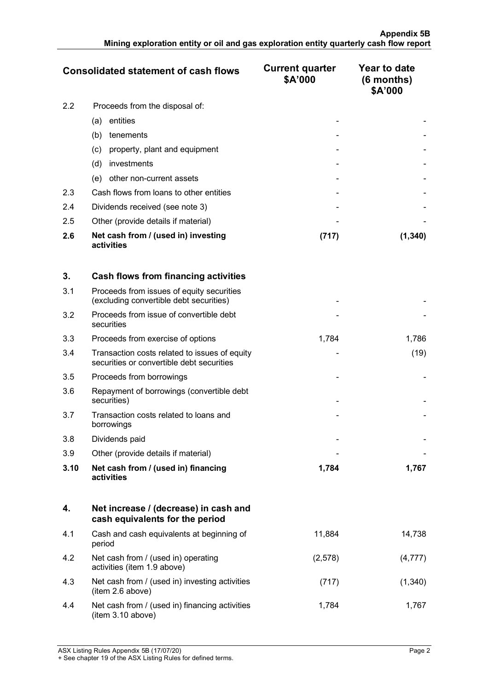|     | <b>Consolidated statement of cash flows</b>       | <b>Current quarter</b><br>\$A'000 | Year to date<br>$(6$ months)<br>\$A'000 |
|-----|---------------------------------------------------|-----------------------------------|-----------------------------------------|
| 2.2 | Proceeds from the disposal of:                    |                                   |                                         |
|     | entities<br>(a)                                   |                                   |                                         |
|     | (b)<br>tenements                                  |                                   |                                         |
|     | property, plant and equipment<br>(c)              |                                   |                                         |
|     | investments<br>(d)                                |                                   |                                         |
|     | other non-current assets<br>(e)                   |                                   |                                         |
| 2.3 | Cash flows from loans to other entities           |                                   |                                         |
| 2.4 | Dividends received (see note 3)                   |                                   |                                         |
| 2.5 | Other (provide details if material)               |                                   |                                         |
| 2.6 | Net cash from / (used in) investing<br>activities | (717)                             | (1,340)                                 |

| 3.   | Cash flows from financing activities                                                       |       |       |
|------|--------------------------------------------------------------------------------------------|-------|-------|
| 3.1  | Proceeds from issues of equity securities<br>(excluding convertible debt securities)       |       |       |
| 3.2  | Proceeds from issue of convertible debt<br>securities                                      |       |       |
| 3.3  | Proceeds from exercise of options                                                          | 1,784 | 1,786 |
| 3.4  | Transaction costs related to issues of equity<br>securities or convertible debt securities |       | (19)  |
| 3.5  | Proceeds from borrowings                                                                   |       |       |
| 3.6  | Repayment of borrowings (convertible debt<br>securities)                                   |       |       |
| 3.7  | Transaction costs related to loans and<br>borrowings                                       |       |       |
| 3.8  | Dividends paid                                                                             |       |       |
| 3.9  | Other (provide details if material)                                                        |       |       |
| 3.10 | Net cash from / (used in) financing<br>activities                                          | 1,784 | 1,767 |

|     | Net increase / (decrease) in cash and<br>cash equivalents for the period |         |         |
|-----|--------------------------------------------------------------------------|---------|---------|
| 4.1 | Cash and cash equivalents at beginning of<br>period                      | 11.884  | 14.738  |
| 4.2 | Net cash from / (used in) operating<br>activities (item 1.9 above)       | (2,578) |         |
| 4.3 | Net cash from / (used in) investing activities<br>(item 2.6 above)       | (717)   | (1,340) |
| 4.4 | Net cash from / (used in) financing activities<br>item 3.10 above)       | 1.784   | 1.767   |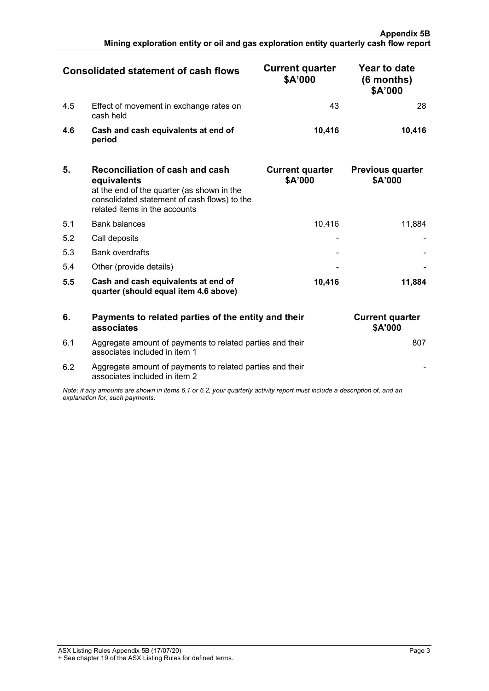|     | <b>Consolidated statement of cash flows</b>          | <b>Current quarter</b><br>\$A'000 | Year to date<br>(6 months)<br>\$A'000 |
|-----|------------------------------------------------------|-----------------------------------|---------------------------------------|
| 4.5 | Effect of movement in exchange rates on<br>cash held |                                   |                                       |
| 4.6 | Cash and cash equivalents at end of<br>period        | 10.416                            | 10.416                                |

| 5.  | <b>Reconciliation of cash and cash</b><br>equivalents<br>at the end of the quarter (as shown in the<br>consolidated statement of cash flows) to the<br>related items in the accounts | <b>Current quarter</b><br>\$A'000 | <b>Previous quarter</b><br>\$A'000 |
|-----|--------------------------------------------------------------------------------------------------------------------------------------------------------------------------------------|-----------------------------------|------------------------------------|
| 5.1 | <b>Bank balances</b>                                                                                                                                                                 | 10.416                            | 11.884                             |
| 5.2 | Call deposits                                                                                                                                                                        |                                   |                                    |
| 5.3 | <b>Bank overdrafts</b>                                                                                                                                                               |                                   |                                    |
| 5.4 | Other (provide details)                                                                                                                                                              |                                   |                                    |
| 5.5 | Cash and cash equivalents at end of<br>quarter (should equal item 4.6 above)                                                                                                         | 10.416                            | 11.884                             |

| 6                                                                                                                                                           | Payments to related parties of the entity and their<br>associates                          | <b>Current quarter</b><br>\$A'000 |
|-------------------------------------------------------------------------------------------------------------------------------------------------------------|--------------------------------------------------------------------------------------------|-----------------------------------|
| 6.1                                                                                                                                                         | Aggregate amount of payments to related parties and their<br>associates included in item 1 | sυ                                |
| 6.2                                                                                                                                                         | Aggregate amount of payments to related parties and their<br>associates included in item 2 |                                   |
| Note: if any amounts are shown in items 6.1 or 6.2, your quarterly activity report must include a description of, and an<br>explanation for, such payments. |                                                                                            |                                   |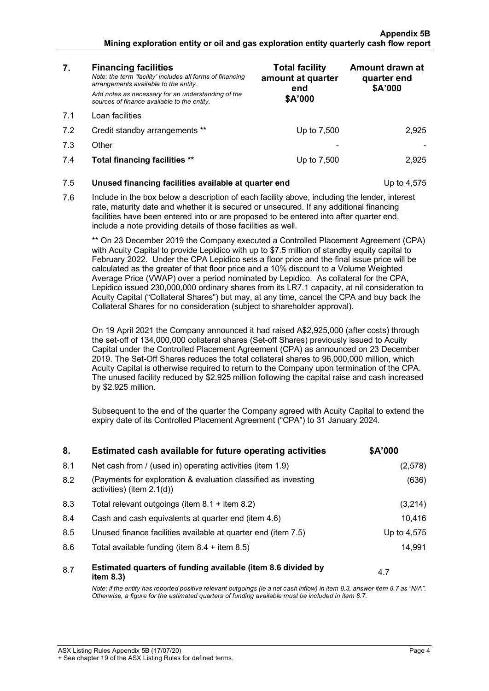#### **Appendix 5B Mining exploration entity or oil and gas exploration entity quarterly cash flow report**

| 7.  | <b>Financing facilities</b><br>Note: the term "facility' includes all forms of financing<br>arrangements available to the entity.<br>Add notes as necessary for an understanding of the<br>sources of finance available to the entity.                                                                                                                                                                                                                                                                                                                                                                                                                                                                                                                                                                                                                                                                                                                                                                                                                                                                                                                                                                                                                                                                                                         | <b>Total facility</b><br>amount at quarter<br>end<br>\$A'000 | Amount drawn at<br>quarter end<br>\$A'000 |
|-----|------------------------------------------------------------------------------------------------------------------------------------------------------------------------------------------------------------------------------------------------------------------------------------------------------------------------------------------------------------------------------------------------------------------------------------------------------------------------------------------------------------------------------------------------------------------------------------------------------------------------------------------------------------------------------------------------------------------------------------------------------------------------------------------------------------------------------------------------------------------------------------------------------------------------------------------------------------------------------------------------------------------------------------------------------------------------------------------------------------------------------------------------------------------------------------------------------------------------------------------------------------------------------------------------------------------------------------------------|--------------------------------------------------------------|-------------------------------------------|
| 7.1 | Loan facilities                                                                                                                                                                                                                                                                                                                                                                                                                                                                                                                                                                                                                                                                                                                                                                                                                                                                                                                                                                                                                                                                                                                                                                                                                                                                                                                                |                                                              |                                           |
| 7.2 | Credit standby arrangements **                                                                                                                                                                                                                                                                                                                                                                                                                                                                                                                                                                                                                                                                                                                                                                                                                                                                                                                                                                                                                                                                                                                                                                                                                                                                                                                 | Up to 7,500                                                  | 2,925                                     |
| 7.3 | Other                                                                                                                                                                                                                                                                                                                                                                                                                                                                                                                                                                                                                                                                                                                                                                                                                                                                                                                                                                                                                                                                                                                                                                                                                                                                                                                                          |                                                              |                                           |
| 7.4 | Total financing facilities **                                                                                                                                                                                                                                                                                                                                                                                                                                                                                                                                                                                                                                                                                                                                                                                                                                                                                                                                                                                                                                                                                                                                                                                                                                                                                                                  | Up to 7,500                                                  | 2,925                                     |
| 7.5 | Unused financing facilities available at quarter end                                                                                                                                                                                                                                                                                                                                                                                                                                                                                                                                                                                                                                                                                                                                                                                                                                                                                                                                                                                                                                                                                                                                                                                                                                                                                           |                                                              | Up to 4,575                               |
| 7.6 | Include in the box below a description of each facility above, including the lender, interest<br>rate, maturity date and whether it is secured or unsecured. If any additional financing<br>facilities have been entered into or are proposed to be entered into after quarter end,<br>include a note providing details of those facilities as well.                                                                                                                                                                                                                                                                                                                                                                                                                                                                                                                                                                                                                                                                                                                                                                                                                                                                                                                                                                                           |                                                              |                                           |
|     | ** On 23 December 2019 the Company executed a Controlled Placement Agreement (CPA)<br>with Acuity Capital to provide Lepidico with up to \$7.5 million of standby equity capital to<br>February 2022. Under the CPA Lepidico sets a floor price and the final issue price will be<br>calculated as the greater of that floor price and a 10% discount to a Volume Weighted<br>Average Price (VWAP) over a period nominated by Lepidico. As collateral for the CPA,<br>Lepidico issued 230,000,000 ordinary shares from its LR7.1 capacity, at nil consideration to<br>Acuity Capital ("Collateral Shares") but may, at any time, cancel the CPA and buy back the<br>Collateral Shares for no consideration (subject to shareholder approval).<br>On 19 April 2021 the Company announced it had raised A\$2,925,000 (after costs) through<br>the set-off of 134,000,000 collateral shares (Set-off Shares) previously issued to Acuity<br>Capital under the Controlled Placement Agreement (CPA) as announced on 23 December<br>2019. The Set-Off Shares reduces the total collateral shares to 96,000,000 million, which<br>Acuity Capital is otherwise required to return to the Company upon termination of the CPA.<br>The unused facility reduced by \$2.925 million following the capital raise and cash increased<br>by \$2.925 million. |                                                              |                                           |
|     | Subsequent to the end of the quarter the Company agreed with Acuity Capital to extend the<br>expiry date of its Controlled Placement Agreement ("CPA") to 31 January 2024.                                                                                                                                                                                                                                                                                                                                                                                                                                                                                                                                                                                                                                                                                                                                                                                                                                                                                                                                                                                                                                                                                                                                                                     |                                                              |                                           |

| 8.  | Estimated cash available for future operating activities                                       | \$A'000     |
|-----|------------------------------------------------------------------------------------------------|-------------|
| 8.1 | Net cash from / (used in) operating activities (item 1.9)                                      | (2,578)     |
| 8.2 | (Payments for exploration & evaluation classified as investing<br>activities) (item $2.1(d)$ ) | (636)       |
| 8.3 | Total relevant outgoings (item $8.1 +$ item $8.2$ )                                            | (3,214)     |
| 8.4 | Cash and cash equivalents at quarter end (item 4.6)                                            | 10.416      |
| 8.5 | Unused finance facilities available at quarter end (item 7.5)                                  | Up to 4.575 |
| 8.6 | Total available funding (item $8.4 +$ item $8.5$ )                                             | 14.991      |
| 8.7 | Estimated quarters of funding available (item 8.6 divided by<br>item $8.3$ )                   | 4.7         |

*Note: if the entity has reported positive relevant outgoings (ie a net cash inflow) in item 8.3, answer item 8.7 as "N/A". Otherwise, a figure for the estimated quarters of funding available must be included in item 8.7.*